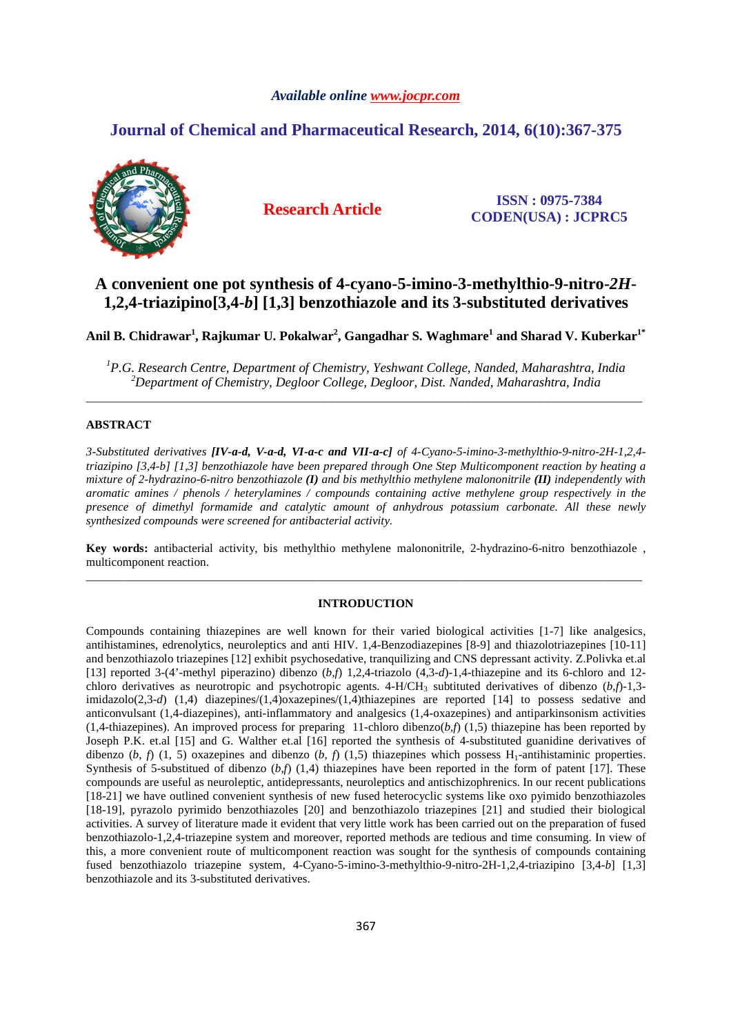## *Available online www.jocpr.com*

# **Journal of Chemical and Pharmaceutical Research, 2014, 6(10):367-375**



**Research Article ISSN : 0975-7384 CODEN(USA) : JCPRC5**

# **A convenient one pot synthesis of 4-cyano-5-imino-3-methylthio-9-nitro-***2H***-1,2,4-triazipino[3,4-***b***] [1,3] benzothiazole and its 3-substituted derivatives**

**Anil B. Chidrawar<sup>1</sup> , Rajkumar U. Pokalwar<sup>2</sup> , Gangadhar S. Waghmare<sup>1</sup> and Sharad V. Kuberkar1\*** 

*<sup>1</sup>P.G. Research Centre, Department of Chemistry, Yeshwant College, Nanded, Maharashtra, India <sup>2</sup>Department of Chemistry, Degloor College, Degloor, Dist. Nanded, Maharashtra, India*  \_\_\_\_\_\_\_\_\_\_\_\_\_\_\_\_\_\_\_\_\_\_\_\_\_\_\_\_\_\_\_\_\_\_\_\_\_\_\_\_\_\_\_\_\_\_\_\_\_\_\_\_\_\_\_\_\_\_\_\_\_\_\_\_\_\_\_\_\_\_\_\_\_\_\_\_\_\_\_\_\_\_\_\_\_\_\_\_\_\_\_\_\_

## **ABSTRACT**

*3-Substituted derivatives [IV-a-d, V-a-d, VI-a-c and VII-a-c] of 4-Cyano-5-imino-3-methylthio-9-nitro-2H-1,2,4 triazipino [3,4-b] [1,3] benzothiazole have been prepared through One Step Multicomponent reaction by heating a mixture of 2-hydrazino-6-nitro benzothiazole (I) and bis methylthio methylene malononitrile (II) independently with aromatic amines / phenols / heterylamines / compounds containing active methylene group respectively in the presence of dimethyl formamide and catalytic amount of anhydrous potassium carbonate. All these newly synthesized compounds were screened for antibacterial activity.* 

**Key words:** antibacterial activity, bis methylthio methylene malononitrile, 2-hydrazino-6-nitro benzothiazole , multicomponent reaction. \_\_\_\_\_\_\_\_\_\_\_\_\_\_\_\_\_\_\_\_\_\_\_\_\_\_\_\_\_\_\_\_\_\_\_\_\_\_\_\_\_\_\_\_\_\_\_\_\_\_\_\_\_\_\_\_\_\_\_\_\_\_\_\_\_\_\_\_\_\_\_\_\_\_\_\_\_\_\_\_\_\_\_\_\_\_\_\_\_\_\_\_\_

#### **INTRODUCTION**

Compounds containing thiazepines are well known for their varied biological activities [1-7] like analgesics, antihistamines, edrenolytics, neuroleptics and anti HIV. 1,4-Benzodiazepines [8-9] and thiazolotriazepines [10-11] and benzothiazolo triazepines [12] exhibit psychosedative, tranquilizing and CNS depressant activity. Z.Polivka et.al [13] reported 3-(4'-methyl piperazino) dibenzo (*b,f*) 1,2,4-triazolo (4,3-*d*)-1,4-thiazepine and its 6-chloro and 12 chloro derivatives as neurotropic and psychotropic agents.  $4-H/CH_3$  subtituted derivatives of dibenzo  $(b,f)-1,3$ imidazolo(2,3-*d*) (1,4) diazepines/(1,4)oxazepines/(1,4)thiazepines are reported [14] to possess sedative and anticonvulsant (1,4-diazepines), anti-inflammatory and analgesics (1,4-oxazepines) and antiparkinsonism activities (1,4-thiazepines). An improved process for preparing 11-chloro dibenzo( $b$ , $f$ ) (1,5) thiazepine has been reported by Joseph P.K. et.al [15] and G. Walther et.al [16] reported the synthesis of 4-substituted guanidine derivatives of dibenzo  $(b, f)$  (1, 5) oxazepines and dibenzo  $(b, f)$  (1,5) thiazepines which possess H<sub>1</sub>-antihistaminic properties. Synthesis of 5-substitued of dibenzo (*b,f*) (1,4) thiazepines have been reported in the form of patent [17]. These compounds are useful as neuroleptic, antidepressants, neuroleptics and antischizophrenics. In our recent publications [18-21] we have outlined convenient synthesis of new fused heterocyclic systems like oxo pyimido benzothiazoles [18-19], pyrazolo pyrimido benzothiazoles [20] and benzothiazolo triazepines [21] and studied their biological activities. A survey of literature made it evident that very little work has been carried out on the preparation of fused benzothiazolo-1,2,4-triazepine system and moreover, reported methods are tedious and time consuming. In view of this, a more convenient route of multicomponent reaction was sought for the synthesis of compounds containing fused benzothiazolo triazepine system, 4-Cyano-5-imino-3-methylthio-9-nitro-2H-1,2,4-triazipino [3,4-*b*] [1,3] benzothiazole and its 3-substituted derivatives.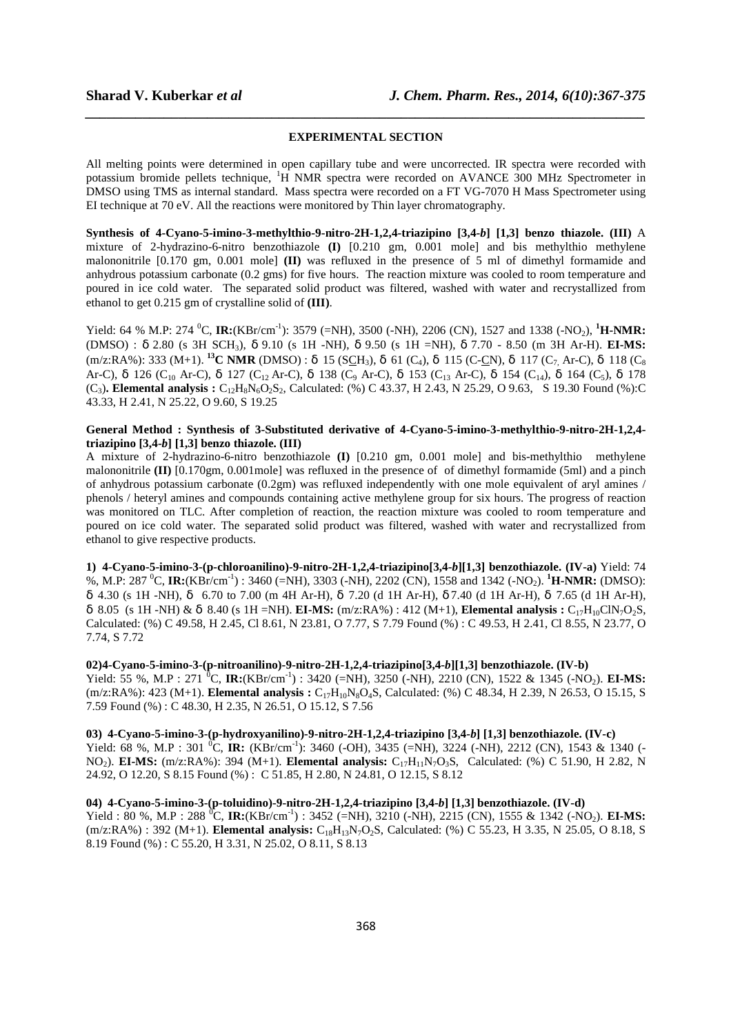# *\_\_\_\_\_\_\_\_\_\_\_\_\_\_\_\_\_\_\_\_\_\_\_\_\_\_\_\_\_\_\_\_\_\_\_\_\_\_\_\_\_\_\_\_\_\_\_\_\_\_\_\_\_\_\_\_\_\_\_\_\_\_\_\_\_\_\_\_\_\_\_\_\_\_\_\_\_\_* **EXPERIMENTAL SECTION**

All melting points were determined in open capillary tube and were uncorrected. IR spectra were recorded with potassium bromide pellets technique, <sup>1</sup>H NMR spectra were recorded on AVANCE 300 MHz Spectrometer in DMSO using TMS as internal standard. Mass spectra were recorded on a FT VG-7070 H Mass Spectrometer using EI technique at 70 eV. All the reactions were monitored by Thin layer chromatography.

**Synthesis of 4-Cyano-5-imino-3-methylthio-9-nitro-2H-1,2,4-triazipino [3,4-***b***] [1,3] benzo thiazole. (III)** A mixture of 2-hydrazino-6-nitro benzothiazole **(I)** [0.210 gm, 0.001 mole] and bis methylthio methylene malononitrile [0.170 gm, 0.001 mole] **(II)** was refluxed in the presence of 5 ml of dimethyl formamide and anhydrous potassium carbonate (0.2 gms) for five hours. The reaction mixture was cooled to room temperature and poured in ice cold water. The separated solid product was filtered, washed with water and recrystallized from ethanol to get 0.215 gm of crystalline solid of **(III)**.

Yield: 64 % M.P: 274 <sup>0</sup>C, **IR:**(KBr/cm<sup>-1</sup>): 3579 (=NH), 3500 (-NH), 2206 (CN), 1527 and 1338 (-NO<sub>2</sub>), <sup>1</sup>**H-NMR:** (DMSO) : δ 2.80 (s 3H SCH3), δ 9.10 (s 1H -NH), δ 9.50 (s 1H =NH), δ 7.70 - 8.50 (m 3H Ar-H). **EI-MS:** (m/z:RA%): 333 (M+1). **<sup>13</sup>C NMR** (DMSO) : δ 15 (SCH3), δ 61 (C4), δ 115 (C-CN), δ 117 (C7, Ar-C), δ 118 (C<sup>8</sup> Ar-C), δ 126 (C<sub>10</sub> Ar-C), δ 127 (C<sub>12</sub> Ar-C), δ 138 (C<sub>9</sub> Ar-C), δ 153 (C<sub>13</sub> Ar-C), δ 154 (C<sub>14</sub>), δ 164 (C<sub>5</sub>), δ 178  $(C_3)$ . **Elemental analysis :**  $C_{12}H_8N_6O_2S_2$ , Calculated: (%) C 43.37, H 2.43, N 25.29, O 9.63, S 19.30 Found (%):C 43.33, H 2.41, N 25.22, O 9.60, S 19.25

## **General Method : Synthesis of 3-Substituted derivative of 4-Cyano-5-imino-3-methylthio-9-nitro-2H-1,2,4 triazipino [3,4-***b***] [1,3] benzo thiazole. (III)**

A mixture of 2-hydrazino-6-nitro benzothiazole **(I)** [0.210 gm, 0.001 mole] and bis-methylthio methylene malononitrile **(II)** [0.170gm, 0.001mole] was refluxed in the presence of of dimethyl formamide (5ml) and a pinch of anhydrous potassium carbonate (0.2gm) was refluxed independently with one mole equivalent of aryl amines / phenols / heteryl amines and compounds containing active methylene group for six hours. The progress of reaction was monitored on TLC. After completion of reaction, the reaction mixture was cooled to room temperature and poured on ice cold water. The separated solid product was filtered, washed with water and recrystallized from ethanol to give respective products.

**1) 4-Cyano-5-imino-3-(p-chloroanilino)-9-nitro-2H-1,2,4-triazipino[3,4-***b***][1,3] benzothiazole. (IV-a)** Yield: 74 %, M.P: 287 <sup>0</sup>C, **IR:**(KBr/cm-1) : 3460 (=NH), 3303 (-NH), 2202 (CN), 1558 and 1342 (-NO2). **<sup>1</sup>H-NMR:** (DMSO): δ 4.30 (s 1H -NH), δ 6.70 to 7.00 (m 4H Ar-H), δ 7.20 (d 1H Ar-H), δ 7.40 (d 1H Ar-H), δ 7.65 (d 1H Ar-H), δ 8.05 (s 1H -NH) & δ 8.40 (s 1H =NH). **EI-MS:** (m/z:RA%) : 412 (M+1), **Elemental analysis :** C17H10ClN7O2S, Calculated: (%) C 49.58, H 2.45, Cl 8.61, N 23.81, O 7.77, S 7.79 Found (%) : C 49.53, H 2.41, Cl 8.55, N 23.77, O 7.74, S 7.72

**02) 4-Cyano-5-imino-3-(p-nitroanilino)-9-nitro-2H-1,2,4-triazipino[3,4-***b***][1,3] benzothiazole. (IV-b)**  Yield: 55 %, M.P : 271 <sup>0</sup>C, **IR:**(KBr/cm<sup>-1</sup>) : 3420 (=NH), 3250 (-NH), 2210 (CN), 1522 & 1345 (-NO<sub>2</sub>). **EI-MS:** (m/z:RA%): 423 (M+1). **Elemental analysis :** C<sub>17</sub>H<sub>10</sub>N<sub>8</sub>O<sub>4</sub>S, Calculated: (%) C 48.34, H 2.39, N 26.53, O 15.15, S 7.59 Found (%) : C 48.30, H 2.35, N 26.51, O 15.12, S 7.56

**03) 4-Cyano-5-imino-3-(p-hydroxyanilino)-9-nitro-2H-1,2,4-triazipino [3,4-***b***] [1,3] benzothiazole. (IV-c)**  Yield: 68 %, M.P : 301 <sup>o</sup>C, **IR:**  $(KBr/cm^{-1})$ : 3460 (-OH), 3435 (=NH), 3224 (-NH), 2212 (CN), 1543 & 1340 (-NO2). **EI-MS:** (m/z:RA%): 394 (M+1). **Elemental analysis:** C17H11N7O3S, Calculated: (%) C 51.90, H 2.82, N 24.92, O 12.20, S 8.15 Found (%) : C 51.85, H 2.80, N 24.81, O 12.15, S 8.12

#### **04) 4-Cyano-5-imino-3-(p-toluidino)-9-nitro-2H-1,2,4-triazipino [3,4-***b***] [1,3] benzothiazole. (IV-d)**

Yield : 80 %, M.P : 288 <sup>o</sup>C, **IR:**(KBr/cm<sup>-1</sup>) : 3452 (=NH), 3210 (-NH), 2215 (CN), 1555 & 1342 (-NO<sub>2</sub>). **EI-MS:** (m/z:RA%) : 392 (M+1). **Elemental analysis:** C<sub>18</sub>H<sub>13</sub>N<sub>7</sub>O<sub>2</sub>S, Calculated: (%) C 55.23, H 3.35, N 25.05, O 8.18, S 8.19 Found (%) : C 55.20, H 3.31, N 25.02, O 8.11, S 8.13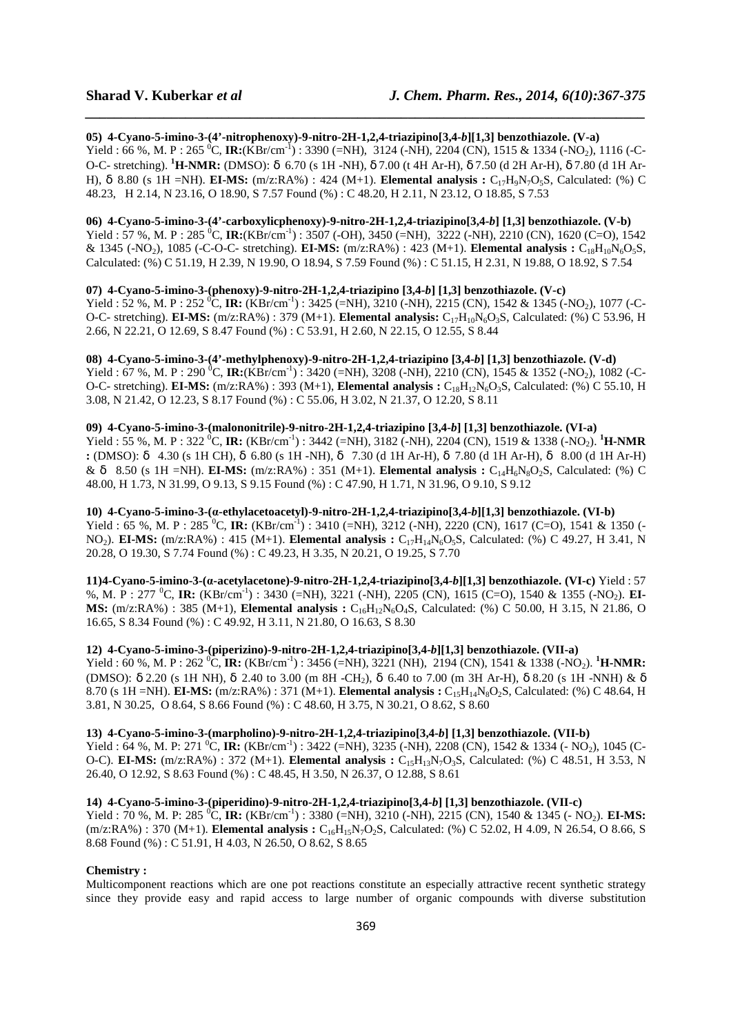**05) 4-Cyano-5-imino-3-(4'-nitrophenoxy)-9-nitro-2H-1,2,4-triazipino[3,4-***b***][1,3] benzothiazole. (V-a)**  Yield : 66 %, M. P : 265 <sup>0</sup>C, **IR:**(KBr/cm<sup>-1</sup>) : 3390 (=NH), 3124 (-NH), 2204 (CN), 1515 & 1334 (-NO<sub>2</sub>), 1116 (-C-O-C- stretching). **<sup>1</sup>H-NMR:** (DMSO): δ 6.70 (s 1H -NH), δ 7.00 (t 4H Ar-H), δ 7.50 (d 2H Ar-H), δ 7.80 (d 1H Ar-H), δ 8.80 (s 1H =NH). **EI-MS:** (m/z:RA%) : 424 (M+1). **Elemental analysis :** C17H9N7O5S, Calculated: (%) C 48.23, H 2.14, N 23.16, O 18.90, S 7.57 Found (%) : C 48.20, H 2.11, N 23.12, O 18.85, S 7.53

*\_\_\_\_\_\_\_\_\_\_\_\_\_\_\_\_\_\_\_\_\_\_\_\_\_\_\_\_\_\_\_\_\_\_\_\_\_\_\_\_\_\_\_\_\_\_\_\_\_\_\_\_\_\_\_\_\_\_\_\_\_\_\_\_\_\_\_\_\_\_\_\_\_\_\_\_\_\_*

## **06) 4-Cyano-5-imino-3-(4'-carboxylicphenoxy)-9-nitro-2H-1,2,4-triazipino[3,4-***b***] [1,3] benzothiazole. (V-b)**

Yield : 57 %, M. P : 285 <sup>0</sup>C, **IR:**(KBr/cm<sup>-1</sup>) : 3507 (-OH), 3450 (=NH), 3222 (-NH), 2210 (CN), 1620 (C=O), 1542 & 1345 (-NO2), 1085 (-C-O-C- stretching). **EI-MS:** (m/z:RA%) : 423 (M+1). **Elemental analysis :** C18H10N6O5S, Calculated: (%) C 51.19, H 2.39, N 19.90, O 18.94, S 7.59 Found (%) : C 51.15, H 2.31, N 19.88, O 18.92, S 7.54

#### **07) 4-Cyano-5-imino-3-(phenoxy)-9-nitro-2H-1,2,4-triazipino [3,4-***b***] [1,3] benzothiazole. (V-c)**

Yield : 52 %, M. P : 252 <sup>0</sup>C, **IR:** (KBr/cm<sup>-1</sup>) : 3425 (=NH), 3210 (-NH), 2215 (CN), 1542 & 1345 (-NO<sub>2</sub>), 1077 (-C-O-C- stretching). **EI-MS:**  $(m/z:RA\%)$ : 379 (M+1). **Elemental analysis:**  $C_{17}H_{10}N_6O_3S$ , Calculated: (%) C 53.96, H 2.66, N 22.21, O 12.69, S 8.47 Found (%) : C 53.91, H 2.60, N 22.15, O 12.55, S 8.44

**08) 4-Cyano-5-imino-3-(4'-methylphenoxy)-9-nitro-2H-1,2,4-triazipino [3,4-***b***] [1,3] benzothiazole. (V-d)**  Yield : 67 %, M. P : 290 <sup>0</sup>C, **IR:**(KBr/cm<sup>-1</sup>) : 3420 (=NH), 3208 (-NH), 2210 (CN), 1545 & 1352 (-NO<sub>2</sub>), 1082 (-C-O-C- stretching). **EI-MS:** (m/z:RA%) : 393 (M+1), **Elemental analysis :** C18H12N6O3S, Calculated: (%) C 55.10, H 3.08, N 21.42, O 12.23, S 8.17 Found (%) : C 55.06, H 3.02, N 21.37, O 12.20, S 8.11

#### **09) 4-Cyano-5-imino-3-(malononitrile)-9-nitro-2H-1,2,4-triazipino [3,4-***b***] [1,3] benzothiazole. (VI-a)**

Yield : 55 %, M. P : 322 <sup>0</sup>C, **IR:** (KBr/cm<sup>-1</sup>) : 3442 (=NH), 3182 (-NH), 2204 (CN), 1519 & 1338 (-NO<sub>2</sub>). <sup>1</sup>**H-NMR :** (DMSO): δ 4.30 (s 1H CH), δ 6.80 (s 1H -NH), δ 7.30 (d 1H Ar-H), δ 7.80 (d 1H Ar-H), δ 8.00 (d 1H Ar-H) & δ 8.50 (s 1H =NH). **EI-MS:** (m/z:RA%) : 351 (M+1). **Elemental analysis :** C14H6N8O2S, Calculated: (%) C 48.00, H 1.73, N 31.99, O 9.13, S 9.15 Found (%) : C 47.90, H 1.71, N 31.96, O 9.10, S 9.12

**10) 4-Cyano-5-imino-3-(α-ethylacetoacetyl)-9-nitro-2H-1,2,4-triazipino[3,4-***b***][1,3] benzothiazole. (VI-b)**  Yield : 65 %, M. P : 285 <sup>0</sup>C, **IR:** (KBr/cm<sup>-1</sup>) : 3410 (=NH), 3212 (-NH), 2220 (CN), 1617 (C=O), 1541 & 1350 (-NO<sub>2</sub>). **EI-MS:** (m/z:RA%) : 415 (M+1). **Elemental analysis :** C<sub>17</sub>H<sub>14</sub>N<sub>6</sub>O<sub>5</sub>S, Calculated: (%) C 49.27, H 3.41, N 20.28, O 19.30, S 7.74 Found (%) : C 49.23, H 3.35, N 20.21, O 19.25, S 7.70

**11) 4-Cyano-5-imino-3-(α-acetylacetone)-9-nitro-2H-1,2,4-triazipino[3,4-***b***][1,3] benzothiazole. (VI-c)** Yield : 57 %, M. P : 277 <sup>0</sup>C, **IR:** (KBr/cm<sup>-1</sup>) : 3430 (=NH), 3221 (-NH), 2205 (CN), 1615 (C=O), 1540 & 1355 (-NO<sub>2</sub>). **EI-MS:** (m/z:RA%) : 385 (M+1), **Elemental analysis :** C<sub>16</sub>H<sub>12</sub>N<sub>6</sub>O<sub>4</sub>S, Calculated: (%) C 50.00, H 3.15, N 21.86, O 16.65, S 8.34 Found (%) : C 49.92, H 3.11, N 21.80, O 16.63, S 8.30

**12) 4-Cyano-5-imino-3-(piperizino)-9-nitro-2H-1,2,4-triazipino[3,4-***b***][1,3] benzothiazole. (VII-a)**  Yield : 60 %, M. P : 262 <sup>0</sup>C, **IR:** (KBr/cm<sup>-1</sup>) : 3456 (=NH), 3221 (NH), 2194 (CN), 1541 & 1338 (-NO<sub>2</sub>). <sup>1</sup>**H-NMR:** (DMSO): δ 2.20 (s 1H NH), δ 2.40 to 3.00 (m 8H -CH2), δ 6.40 to 7.00 (m 3H Ar-H), δ 8.20 (s 1H -NNH) & δ 8.70 (s 1H =NH). **EI-MS:** (m/z:RA%) : 371 (M+1). **Elemental analysis :** C<sub>15</sub>H<sub>14</sub>N<sub>8</sub>O<sub>2</sub>S, Calculated: (%) C 48.64, H 3.81, N 30.25, O 8.64, S 8.66 Found (%) : C 48.60, H 3.75, N 30.21, O 8.62, S 8.60

#### **13) 4-Cyano-5-imino-3-(marpholino)-9-nitro-2H-1,2,4-triazipino[3,4-***b***] [1,3] benzothiazole. (VII-b)**

Yield : 64 %, M. P: 271 <sup>0</sup>C, **IR:** (KBr/cm<sup>-1</sup>) : 3422 (=NH), 3235 (-NH), 2208 (CN), 1542 & 1334 (- NO<sub>2</sub>), 1045 (C-O-C). **EI-MS:** (m/z:RA%) : 372 (M+1). **Elemental analysis :** C<sub>15</sub>H<sub>13</sub>N<sub>7</sub>O<sub>3</sub>S, Calculated: (%) C 48.51, H 3.53, N 26.40, O 12.92, S 8.63 Found (%) : C 48.45, H 3.50, N 26.37, O 12.88, S 8.61

### **14) 4-Cyano-5-imino-3-(piperidino)-9-nitro-2H-1,2,4-triazipino[3,4-***b***] [1,3] benzothiazole. (VII-c)**

Yield : 70 %, M. P: 285 <sup>0</sup>C, **IR:** (KBr/cm<sup>-1</sup>) : 3380 (=NH), 3210 (-NH), 2215 (CN), 1540 & 1345 (- NO<sub>2</sub>). **EI-MS:** (m/z:RA%) : 370 (M+1). **Elemental analysis :** C<sub>16</sub>H<sub>15</sub>N<sub>7</sub>O<sub>2</sub>S, Calculated: (%) C 52.02, H 4.09, N 26.54, O 8.66, S 8.68 Found (%) : C 51.91, H 4.03, N 26.50, O 8.62, S 8.65

#### **Chemistry :**

Multicomponent reactions which are one pot reactions constitute an especially attractive recent synthetic strategy since they provide easy and rapid access to large number of organic compounds with diverse substitution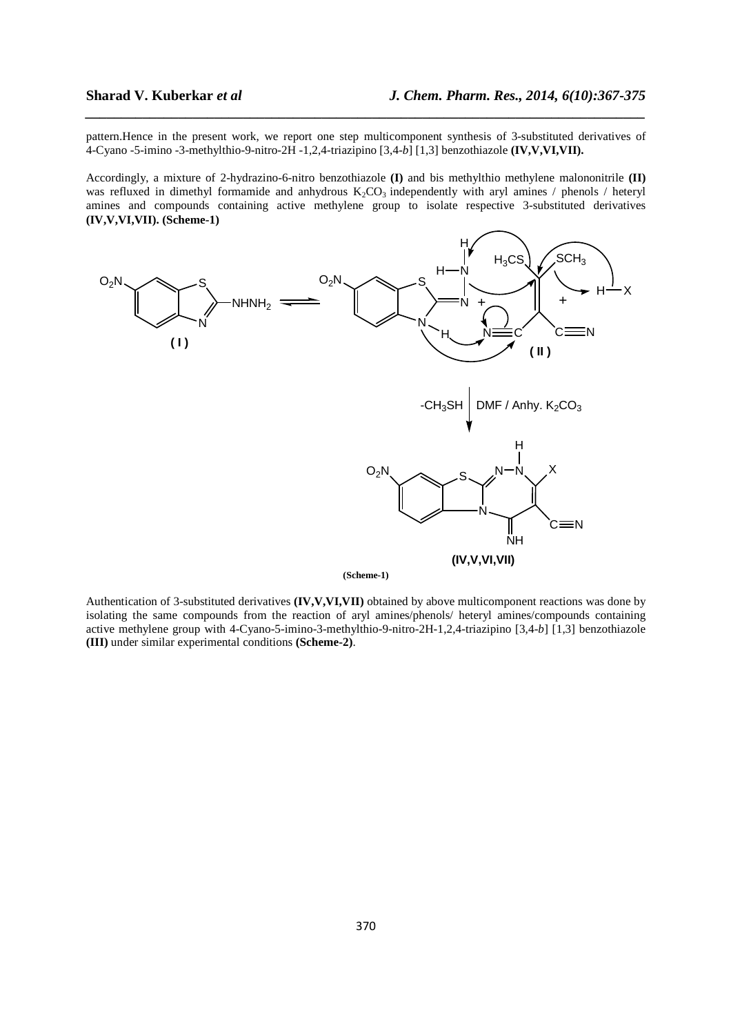pattern.Hence in the present work, we report one step multicomponent synthesis of 3-substituted derivatives of 4-Cyano -5-imino -3-methylthio-9-nitro-2H -1,2,4-triazipino [3,4-*b*] [1,3] benzothiazole **(IV,V,VI,VII).** 

*\_\_\_\_\_\_\_\_\_\_\_\_\_\_\_\_\_\_\_\_\_\_\_\_\_\_\_\_\_\_\_\_\_\_\_\_\_\_\_\_\_\_\_\_\_\_\_\_\_\_\_\_\_\_\_\_\_\_\_\_\_\_\_\_\_\_\_\_\_\_\_\_\_\_\_\_\_\_*

Accordingly, a mixture of 2-hydrazino-6-nitro benzothiazole **(I)** and bis methylthio methylene malononitrile **(II)** was refluxed in dimethyl formamide and anhydrous  $K_2CO_3$  independently with aryl amines / phenols / heteryl amines and compounds containing active methylene group to isolate respective 3-substituted derivatives **(IV,V,VI,VII). (Scheme-1)**



**(Scheme-1)**

Authentication of 3-substituted derivatives **(IV,V,VI,VII)** obtained by above multicomponent reactions was done by isolating the same compounds from the reaction of aryl amines/phenols/ heteryl amines/compounds containing active methylene group with 4-Cyano-5-imino-3-methylthio-9-nitro-2H-1,2,4-triazipino [3,4-*b*] [1,3] benzothiazole **(III)** under similar experimental conditions **(Scheme-2)**.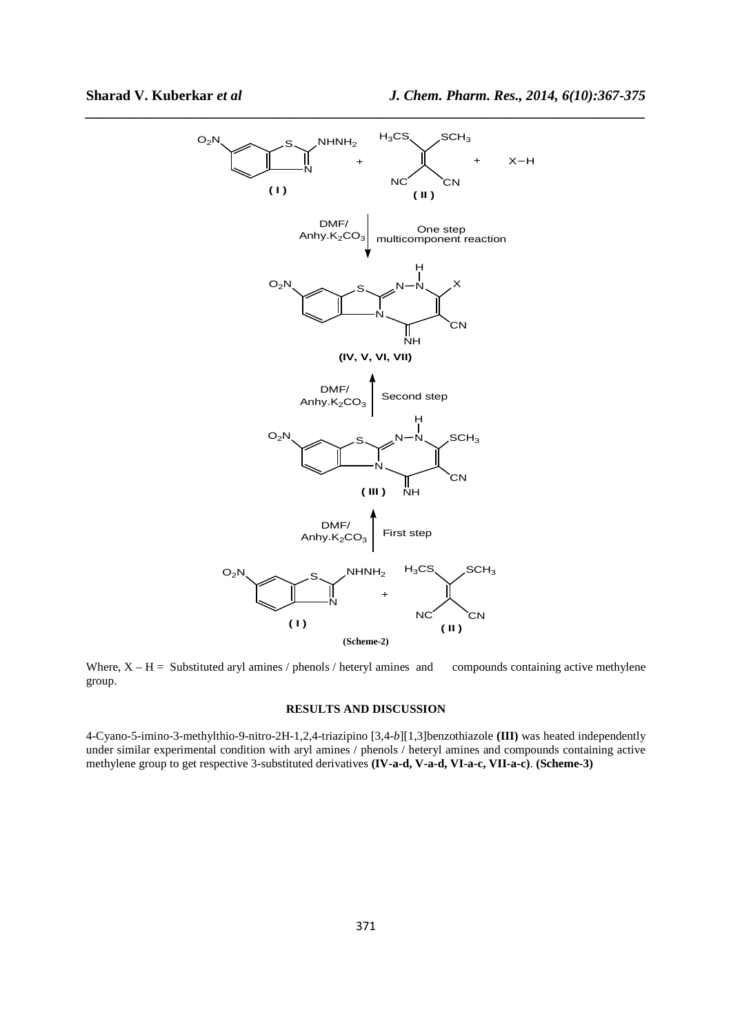

Where,  $X - H =$  Substituted aryl amines / phenols / heteryl amines and compounds containing active methylene group.

# **RESULTS AND DISCUSSION**

4-Cyano-5-imino-3-methylthio-9-nitro-2H-1,2,4-triazipino [3,4-*b*][1,3]benzothiazole **(III)** was heated independently under similar experimental condition with aryl amines / phenols / heteryl amines and compounds containing active methylene group to get respective 3-substituted derivatives **(IV-a-d, V-a-d, VI-a-c, VII-a-c)**. **(Scheme-3)**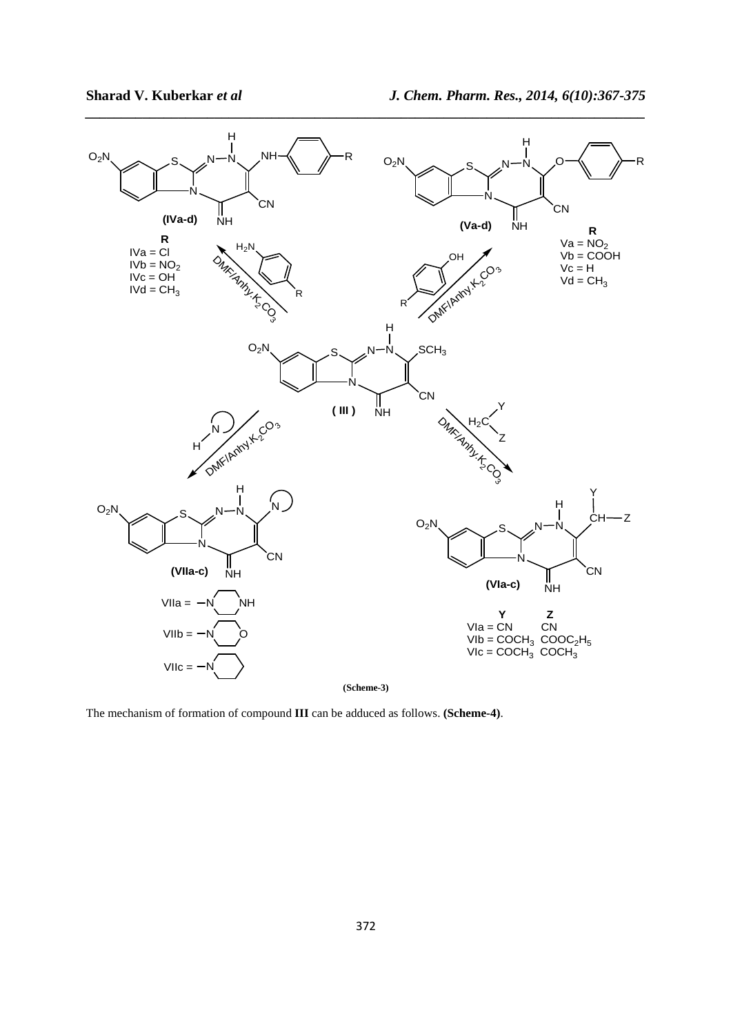

The mechanism of formation of compound **III** can be adduced as follows. **(Scheme-4)**.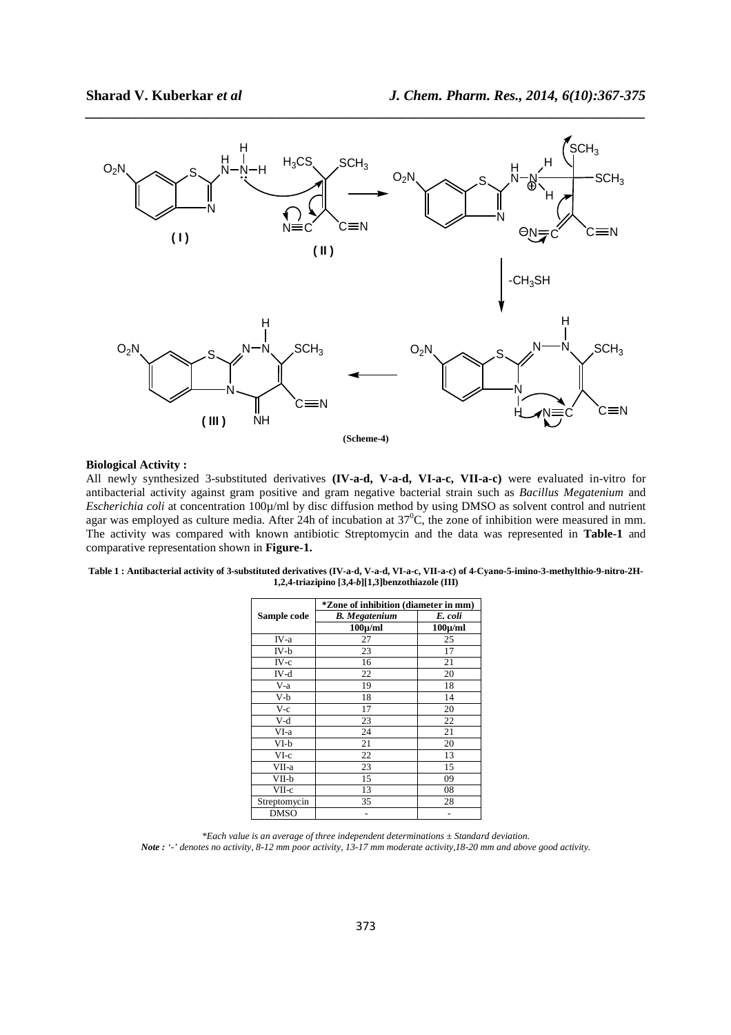

#### **Biological Activity :**

All newly synthesized 3-substituted derivatives **(IV-a-d, V-a-d, VI-a-c, VII-a-c)** were evaluated in-vitro for antibacterial activity against gram positive and gram negative bacterial strain such as *Bacillus Megatenium* and *Escherichia coli at concentration* 100<sub>µ</sub>/ml by disc diffusion method by using DMSO as solvent control and nutrient agar was employed as culture media. After 24h of incubation at  $37^{\circ}$ C, the zone of inhibition were measured in mm. The activity was compared with known antibiotic Streptomycin and the data was represented in **Table-1** and comparative representation shown in **Figure-1.** 

| Table 1 : Antibacterial activity of 3-substituted derivatives (IV-a-d, V-a-d, VI-a-c, VII-a-c) of 4-Cvano-5-imino-3-methylthio-9-nitro-2H- |
|--------------------------------------------------------------------------------------------------------------------------------------------|
| 1,2,4-triazipino $[3,4-b][1,3]$ benzothiazole (III)                                                                                        |

|              | <i>*Zone of inhibition (diameter in mm)</i> |              |
|--------------|---------------------------------------------|--------------|
| Sample code  | <b>B.</b> Megatenium                        | E. coli      |
|              | $100 \mu/ml$                                | $100 \mu/ml$ |
| IV-a         | 27                                          | 25           |
| IV-b         | 23                                          | 17           |
| $IV-c$       | 16                                          | 21           |
| IV-d         | 22                                          | 20           |
| $V-a$        | 19                                          | 18           |
| V-b          | 18                                          | 14           |
| V-c          | 17                                          | 20           |
| V-d          | 23                                          | 22           |
| VI-a         | 24                                          | 21           |
| VI-b         | 21                                          | 20           |
| $VI-c$       | 22                                          | 13           |
| VII-a        | 23                                          | 15           |
| VII-b        | 15                                          | 09           |
| VII-c        | 13                                          | 08           |
| Streptomycin | 35                                          | 28           |
| <b>DMSO</b>  |                                             |              |

*<sup>\*</sup>Each value is an average of three independent determinations ± Standard deviation. Note : '-' denotes no activity, 8-12 mm poor activity, 13-17 mm moderate activity,18-20 mm and above good activity.*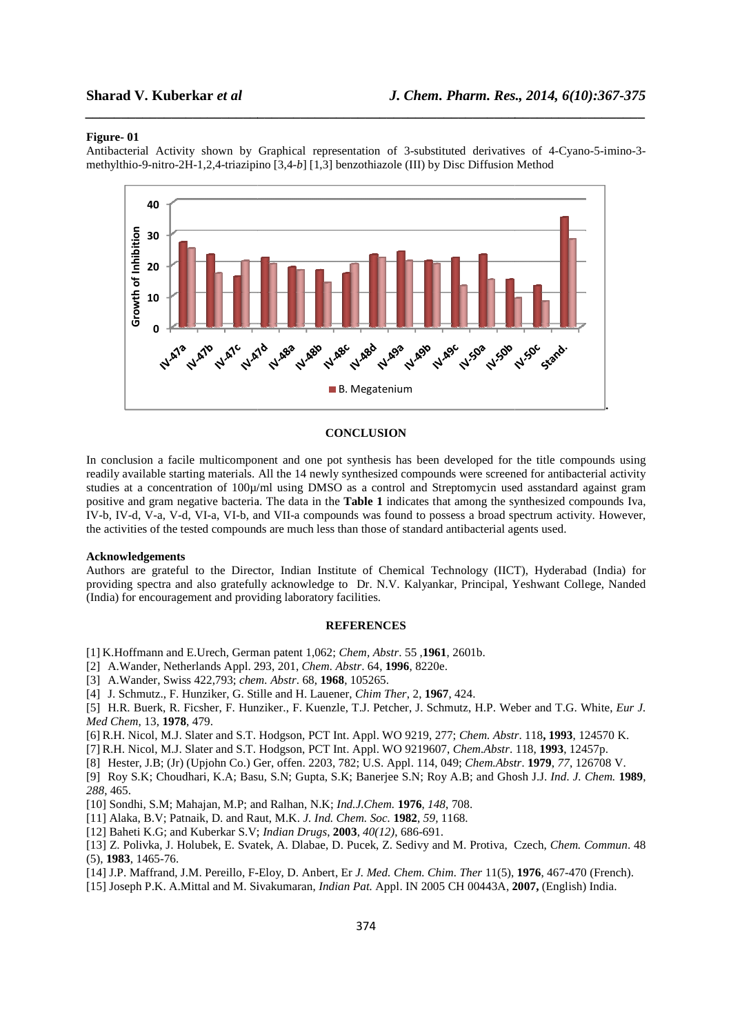# **Sharad V. Kuberkar** *et al*

#### **Figure- 01**

Antibacterial Activity shown by Graphical representation of 3-substituted derivatives of 4-Cyano-5-imino-3methylthio-9-nitro-2H-1,2,4-triazipino [3,4 triazipino [3,4-*b*] [1,3] benzothiazole (III) by Disc Diffusion Method

*\_\_\_\_\_\_\_\_\_\_\_\_\_\_\_\_\_\_\_\_\_\_\_\_\_\_\_\_\_\_\_\_\_\_\_\_\_\_\_\_\_\_\_\_\_\_\_\_\_\_\_\_\_\_\_\_\_\_\_\_\_\_\_\_\_\_\_\_\_\_\_\_\_\_\_\_\_\_*



#### **CONCLUSION**

In conclusion a facile multicomponent and one pot synthesis has been developed for the title compounds using readily available starting materials. All the 14 newly synthesized compounds were screened for antibacterial activity studies at a concentration of 100µ/ml using DMSO as a control and Streptomycin used asstandard against gram positive and gram negative bacteria. The data in the **Table 1** indicates that among the synthesized compounds Iva, IV-b, IV-d, V-a, V-d, VI-a, VI-b, and VII-a compounds was found to possess a broad spectrum activity. However, the activities of the tested compounds are much less than those of standard antibacterial agents used. a control and Streptomycin used asstandard against gram<br> **ble 1** indicates that among the synthesized compounds Iva,<br>
it was found to possess a broad spectrum activity. However,<br>
those of standard antibacterial agents used

#### **Acknowledgements**

Authors are grateful to the Director, Indian Institute of Chemical Technology (IICT), Hyderabad (India) for Authors are grateful to the Director, Indian Institute of Chemical Technology (IICT), Hyderabad (India) for<br>providing spectra and also gratefully acknowledge to Dr. N.V. Kalyankar, Principal, Yeshwant College, Nanded (India) for encouragement and providing laboratory facilities.

#### **REFERENCES**

[1] K.Hoffmann and E.Urech, German patent 1,062; *Chem, Abstr.* 55, 1961, 2601b.

- [2] A.Wander, Netherlands Appl. 293, 201, *Chem. Abstr*. 64, **1996**, 8220e.
- [3] A.Wander, Swiss 422,793; *chem. Abstr* . 68, **1968**, 105265.
- [4] J. Schmutz., F. Hunziker, G. Stille and H. Lauener, *Chim Ther*, 2, **1967**, 424.

[5] H.R. Buerk, R. Ficsher, F. Hunziker., F. Kuenzle, T.J. Petcher, J. Schmutz, H.P. Weber and T.G. White, *Eur J. Med Chem*, 13, **1978**, 479.

[6] R.H. Nicol, M.J. Slater and S.T. Hodgson, PCT Int. Appl. WO 9219, 9219, 277; *Chem. Abstr* . 118**, 1993**, 124570 K.

[7] R.H. Nicol, M.J. Slater and S.T. Hodgson, PCT Int. Appl. WO 9219607, *Chem.Abstr*. 118, **1993**, 12457p.

[8] Hester, J.B; (Jr) (Upjohn Co.) Ger, offen. 2203, 782; U.S. Appl. 114, 049; *Chem.Abstr.* **1979**, 77, 126708 V.

[9] Roy S.K; Choudhari, K.A; Basu, S.N; Gupta, S.K; Banerjee S.N; Roy A.B; and Ghosh J.J. *Ind. J. Chem.* **1989**, *288*, 465.

[10] Sondhi, S.M; Mahajan, M.P; and Ralhan, N.K; 10] *Ind.J.Chem.* **1976**, *148*, 708.

[11] Alaka, B.V; Patnaik, D. and Raut, M.K. *J. Ind. Chem. Soc.* **1982**, *59,* 1168.

[12] Baheti K.G; and Kuberkar S.V; *Indian Drugs*, **2003**, *40(12)*, 686-691.

[13] Z. Polivka, J. Holubek, E. Svatek, A. Dlabae, D. Pucek, Z. Sedivy and M. Protiva, Czech, Chem. Commun. 48 (5), **1983**, 1465-76.

[14] J.P. Maffrand, J.M. Pereillo, F-Eloy, D. Anbert, Er *J. Med. Chem. Chim. Ther* 11(5), 1976, 467-470 (French).

[15] Joseph P.K. A.Mittal and M. Sivakumaran, *Indian Pat.* Appl. IN 2005 CH 00443A, **2007 2007,** (English) India.